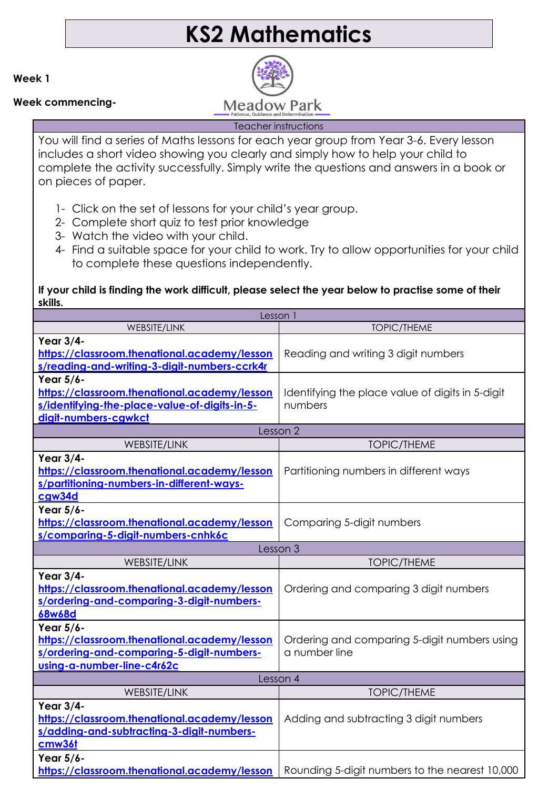# **KS2 Mathematics**

**Week 1**

**Week commencing-**



Teacher instructions

You will find a series of Maths lessons for each year group from Year 3-6. Every lesson includes a short video showing you clearly and simply how to help your child to complete the activity successfully. Simply write the questions and answers in a book or on pieces of paper.

- 1- Click on the set of lessons for your child's year group.
- 2- Complete short quiz to test prior knowledge
- 3- Watch the video with your child.
- 4- Find a suitable space for your child to work. Try to allow opportunities for your child to complete these questions independently.

# **If your child is finding the work difficult, please select the year below to practise some of their skills.**

| Lesson 1                                                                                                                             |                                                               |  |
|--------------------------------------------------------------------------------------------------------------------------------------|---------------------------------------------------------------|--|
| WEBSITE/LINK                                                                                                                         | <b>TOPIC/THEME</b>                                            |  |
| Year 3/4-<br>https://classroom.thenational.academy/lesson<br>s/reading-and-writing-3-digit-numbers-ccrk4r                            | Reading and writing 3 digit numbers                           |  |
| Year 5/6-<br>https://classroom.thenational.academy/lesson<br>s/identifying-the-place-value-of-digits-in-5-<br>digit-numbers-cgwkct   | Identifying the place value of digits in 5-digit<br>numbers   |  |
|                                                                                                                                      | Lesson 2                                                      |  |
| WEBSITE/LINK                                                                                                                         | <b>TOPIC/THEME</b>                                            |  |
| <b>Year 3/4-</b><br>https://classroom.thenational.academy/lesson<br>s/partitioning-numbers-in-different-ways-<br>cgw34d              | Partitioning numbers in different ways                        |  |
| Year 5/6-<br>https://classroom.thenational.academy/lesson<br>s/comparing-5-digit-numbers-cnhk6c                                      | Comparing 5-digit numbers                                     |  |
|                                                                                                                                      | Lesson 3                                                      |  |
| WEBSITE/LINK                                                                                                                         | <b>TOPIC/THEME</b>                                            |  |
| Year 3/4-<br>https://classroom.thenational.academy/lesson<br>s/ordering-and-comparing-3-digit-numbers-<br>68w68d                     | Ordering and comparing 3 digit numbers                        |  |
| Year 5/6-<br>https://classroom.thenational.academy/lesson<br>s/ordering-and-comparing-5-digit-numbers-<br>using-a-number-line-c4r62c | Ordering and comparing 5-digit numbers using<br>a number line |  |
| Lesson 4                                                                                                                             |                                                               |  |
| WEBSITE/LINK                                                                                                                         | <b>TOPIC/THEME</b>                                            |  |
| Year 3/4-<br>https://classroom.thenational.academy/lesson<br>s/adding-and-subtracting-3-digit-numbers-<br>cmw36t                     | Adding and subtracting 3 digit numbers                        |  |
| Year 5/6-<br>https://classroom.thenational.academy/lesson                                                                            | Rounding 5-digit numbers to the nearest 10,000                |  |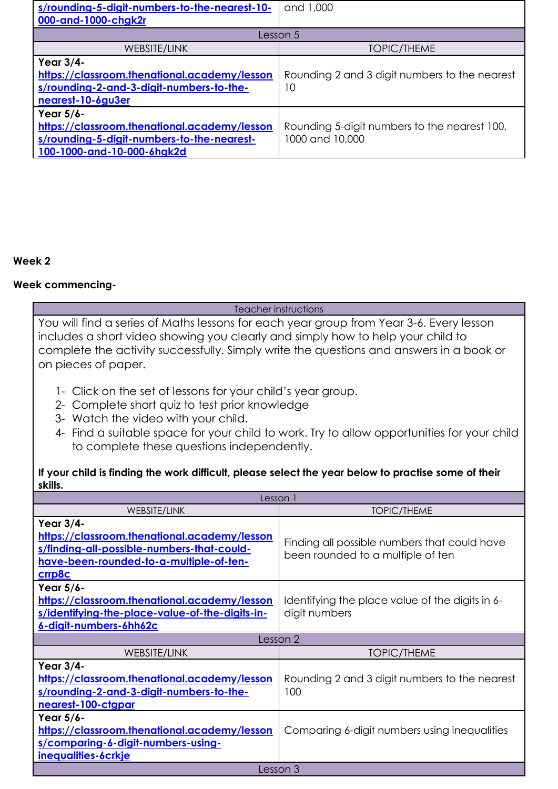| s/rounding-5-digit-numbers-to-the-nearest-10-                                                                                         | and 1,000                                                       |  |
|---------------------------------------------------------------------------------------------------------------------------------------|-----------------------------------------------------------------|--|
| 000-and-1000-chgk2r                                                                                                                   |                                                                 |  |
| Lesson 5                                                                                                                              |                                                                 |  |
| WEBSITE/LINK                                                                                                                          | <b>TOPIC/THEME</b>                                              |  |
| Year 3/4-<br>https://classroom.thenational.academy/lesson<br>s/rounding-2-and-3-digit-numbers-to-the-<br>nearest-10-6gu3er            | Rounding 2 and 3 digit numbers to the nearest<br>10             |  |
| Year 5/6-<br>https://classroom.thenational.academy/lesson<br>s/rounding-5-digit-numbers-to-the-nearest-<br>100-1000-and-10-000-6hgk2d | Rounding 5-digit numbers to the nearest 100,<br>1000 and 10,000 |  |

## **Week 2**

### **Week commencing-**

#### Teacher instructions

You will find a series of Maths lessons for each year group from Year 3-6. Every lesson includes a short video showing you clearly and simply how to help your child to complete the activity successfully. Simply write the questions and answers in a book or on pieces of paper.

- 1- Click on the set of lessons for your child's year group.
- 2- Complete short quiz to test prior knowledge
- 3- Watch the video with your child.
- 4- Find a suitable space for your child to work. Try to allow opportunities for your child to complete these questions independently.

### **If your child is finding the work difficult, please select the year below to practise some of their skills.**

| Lesson 1                                                                                                                                                     |                                                                                   |  |
|--------------------------------------------------------------------------------------------------------------------------------------------------------------|-----------------------------------------------------------------------------------|--|
| <b>WEBSITE/LINK</b>                                                                                                                                          | <b>TOPIC/THEME</b>                                                                |  |
| Year 3/4-<br>https://classroom.thenational.academy/lesson<br>s/finding-all-possible-numbers-that-could-<br>have-been-rounded-to-a-multiple-of-ten-<br>crrp8c | Finding all possible numbers that could have<br>been rounded to a multiple of ten |  |
| Year 5/6-<br>https://classroom.thenational.academy/lesson<br>s/identifying-the-place-value-of-the-digits-in-<br>6-digit-numbers-6hh62c                       | Identifying the place value of the digits in 6-<br>digit numbers                  |  |
|                                                                                                                                                              | Lesson 2                                                                          |  |
| <b>WEBSITE/LINK</b>                                                                                                                                          | <b>TOPIC/THEME</b>                                                                |  |
| Year 3/4-<br>https://classroom.thenational.academy/lesson<br>s/rounding-2-and-3-digit-numbers-to-the-<br>nearest-100-ctgpar                                  | Rounding 2 and 3 digit numbers to the nearest<br>100                              |  |
| Year 5/6-<br>https://classroom.thenational.academy/lesson<br>s/comparing-6-digit-numbers-using-<br>inequalities-6crkje                                       | Comparing 6-digit numbers using inequalities                                      |  |
| Lesson 3                                                                                                                                                     |                                                                                   |  |